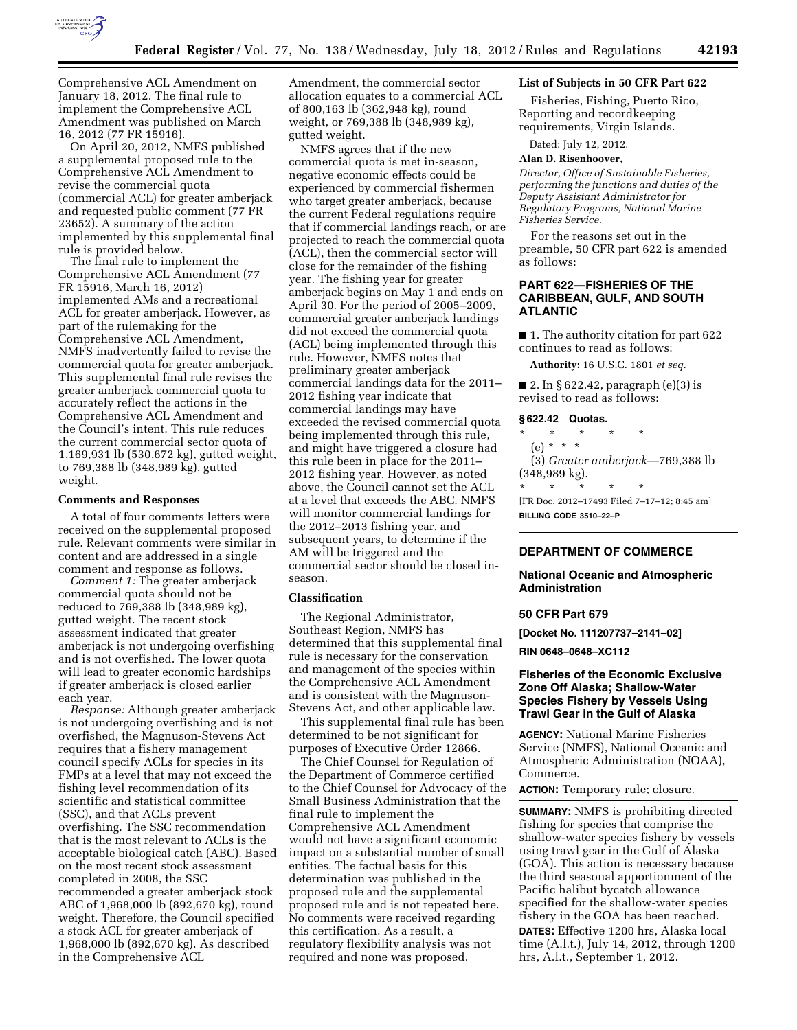

Comprehensive ACL Amendment on January 18, 2012. The final rule to implement the Comprehensive ACL Amendment was published on March 16, 2012 (77 FR 15916).

On April 20, 2012, NMFS published a supplemental proposed rule to the Comprehensive ACL Amendment to revise the commercial quota (commercial ACL) for greater amberjack and requested public comment (77 FR 23652). A summary of the action implemented by this supplemental final rule is provided below.

The final rule to implement the Comprehensive ACL Amendment (77 FR 15916, March 16, 2012) implemented AMs and a recreational ACL for greater amberjack. However, as part of the rulemaking for the Comprehensive ACL Amendment, NMFS inadvertently failed to revise the commercial quota for greater amberjack. This supplemental final rule revises the greater amberjack commercial quota to accurately reflect the actions in the Comprehensive ACL Amendment and the Council's intent. This rule reduces the current commercial sector quota of 1,169,931 lb (530,672 kg), gutted weight, to 769,388 lb (348,989 kg), gutted weight.

### **Comments and Responses**

A total of four comments letters were received on the supplemental proposed rule. Relevant comments were similar in content and are addressed in a single comment and response as follows.

*Comment 1:* The greater amberjack commercial quota should not be reduced to 769,388 lb (348,989 kg), gutted weight. The recent stock assessment indicated that greater amberjack is not undergoing overfishing and is not overfished. The lower quota will lead to greater economic hardships if greater amberjack is closed earlier each year.

*Response:* Although greater amberjack is not undergoing overfishing and is not overfished, the Magnuson-Stevens Act requires that a fishery management council specify ACLs for species in its FMPs at a level that may not exceed the fishing level recommendation of its scientific and statistical committee (SSC), and that ACLs prevent overfishing. The SSC recommendation that is the most relevant to ACLs is the acceptable biological catch (ABC). Based on the most recent stock assessment completed in 2008, the SSC recommended a greater amberjack stock ABC of 1,968,000 lb (892,670 kg), round weight. Therefore, the Council specified a stock ACL for greater amberjack of 1,968,000 lb (892,670 kg). As described in the Comprehensive ACL

Amendment, the commercial sector allocation equates to a commercial ACL of 800,163 lb (362,948 kg), round weight, or 769,388 lb (348,989 kg), gutted weight.

NMFS agrees that if the new commercial quota is met in-season, negative economic effects could be experienced by commercial fishermen who target greater amberjack, because the current Federal regulations require that if commercial landings reach, or are projected to reach the commercial quota (ACL), then the commercial sector will close for the remainder of the fishing year. The fishing year for greater amberjack begins on May 1 and ends on April 30. For the period of 2005–2009, commercial greater amberjack landings did not exceed the commercial quota (ACL) being implemented through this rule. However, NMFS notes that preliminary greater amberjack commercial landings data for the 2011– 2012 fishing year indicate that commercial landings may have exceeded the revised commercial quota being implemented through this rule, and might have triggered a closure had this rule been in place for the 2011– 2012 fishing year. However, as noted above, the Council cannot set the ACL at a level that exceeds the ABC. NMFS will monitor commercial landings for the 2012–2013 fishing year, and subsequent years, to determine if the AM will be triggered and the commercial sector should be closed inseason.

### **Classification**

The Regional Administrator, Southeast Region, NMFS has determined that this supplemental final rule is necessary for the conservation and management of the species within the Comprehensive ACL Amendment and is consistent with the Magnuson-Stevens Act, and other applicable law.

This supplemental final rule has been determined to be not significant for purposes of Executive Order 12866.

The Chief Counsel for Regulation of the Department of Commerce certified to the Chief Counsel for Advocacy of the Small Business Administration that the final rule to implement the Comprehensive ACL Amendment would not have a significant economic impact on a substantial number of small entities. The factual basis for this determination was published in the proposed rule and the supplemental proposed rule and is not repeated here. No comments were received regarding this certification. As a result, a regulatory flexibility analysis was not required and none was proposed.

### **List of Subjects in 50 CFR Part 622**

Fisheries, Fishing, Puerto Rico, Reporting and recordkeeping requirements, Virgin Islands.

Dated: July 12, 2012.

#### **Alan D. Risenhoover,**

*Director, Office of Sustainable Fisheries, performing the functions and duties of the Deputy Assistant Administrator for Regulatory Programs, National Marine Fisheries Service.* 

For the reasons set out in the preamble, 50 CFR part 622 is amended as follows:

## **PART 622—FISHERIES OF THE CARIBBEAN, GULF, AND SOUTH ATLANTIC**

■ 1. The authority citation for part 622 continues to read as follows:

**Authority:** 16 U.S.C. 1801 *et seq.* 

■ 2. In § 622.42, paragraph (e)(3) is revised to read as follows:

## **§ 622.42 Quotas.**

\* \* \* \* \* (e) \* \* \* (3) *Greater amberjack*—769,388 lb (348,989 kg). \* \* \* \* \* [FR Doc. 2012–17493 Filed 7–17–12; 8:45 am] **BILLING CODE 3510–22–P** 

## **DEPARTMENT OF COMMERCE**

**National Oceanic and Atmospheric Administration** 

# **50 CFR Part 679**

**[Docket No. 111207737–2141–02]** 

**RIN 0648–0648–XC112** 

## **Fisheries of the Economic Exclusive Zone Off Alaska; Shallow-Water Species Fishery by Vessels Using Trawl Gear in the Gulf of Alaska**

**AGENCY:** National Marine Fisheries Service (NMFS), National Oceanic and Atmospheric Administration (NOAA), Commerce.

**ACTION:** Temporary rule; closure.

**SUMMARY:** NMFS is prohibiting directed fishing for species that comprise the shallow-water species fishery by vessels using trawl gear in the Gulf of Alaska (GOA). This action is necessary because the third seasonal apportionment of the Pacific halibut bycatch allowance specified for the shallow-water species fishery in the GOA has been reached.

**DATES:** Effective 1200 hrs, Alaska local time (A.l.t.), July 14, 2012, through 1200 hrs, A.l.t., September 1, 2012.